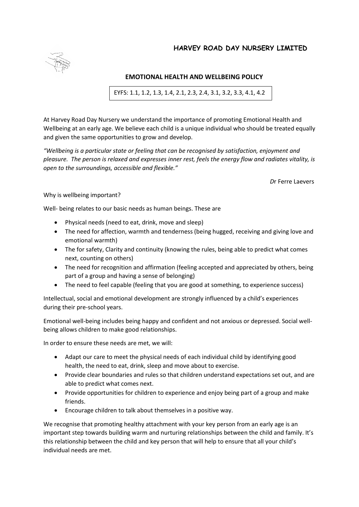## **HARVEY ROAD DAY NURSERY LIMITED**



## **EMOTIONAL HEALTH AND WELLBEING POLICY**

EYFS: 1.1, 1.2, 1.3, 1.4, 2.1, 2.3, 2.4, 3.1, 3.2, 3.3, 4.1, 4.2

At Harvey Road Day Nursery we understand the importance of promoting Emotional Health and Wellbeing at an early age. We believe each child is a unique individual who should be treated equally and given the same opportunities to grow and develop.

*"Wellbeing is a particular state or feeling that can be recognised by satisfaction, enjoyment and pleasure. The person is relaxed and expresses inner rest, feels the energy flow and radiates vitality, is open to the surroundings, accessible and flexible."* 

 *D*r Ferre Laevers

Why is wellbeing important?

Well- being relates to our basic needs as human beings. These are

- Physical needs (need to eat, drink, move and sleep)
- The need for affection, warmth and tenderness (being hugged, receiving and giving love and emotional warmth)
- The for safety, Clarity and continuity (knowing the rules, being able to predict what comes next, counting on others)
- The need for recognition and affirmation (feeling accepted and appreciated by others, being part of a group and having a sense of belonging)
- The need to feel capable (feeling that you are good at something, to experience success)

Intellectual, social and emotional development are strongly influenced by a child's experiences during their pre-school years.

Emotional well-being includes being happy and confident and not anxious or depressed. Social wellbeing allows children to make good relationships.

In order to ensure these needs are met, we will:

- Adapt our care to meet the physical needs of each individual child by identifying good health, the need to eat, drink, sleep and move about to exercise.
- Provide clear boundaries and rules so that children understand expectations set out, and are able to predict what comes next.
- Provide opportunities for children to experience and enjoy being part of a group and make friends.
- Encourage children to talk about themselves in a positive way.

We recognise that promoting healthy attachment with your key person from an early age is an important step towards building warm and nurturing relationships between the child and family. It's this relationship between the child and key person that will help to ensure that all your child's individual needs are met.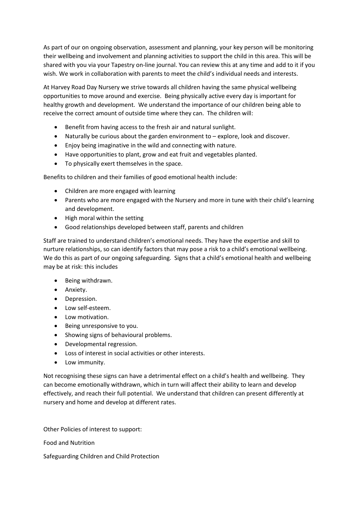As part of our on ongoing observation, assessment and planning, your key person will be monitoring their wellbeing and involvement and planning activities to support the child in this area. This will be shared with you via your Tapestry on-line journal. You can review this at any time and add to it if you wish. We work in collaboration with parents to meet the child's individual needs and interests.

At Harvey Road Day Nursery we strive towards all children having the same physical wellbeing opportunities to move around and exercise. Being physically active every day is important for healthy growth and development. We understand the importance of our children being able to receive the correct amount of outside time where they can. The children will:

- Benefit from having access to the fresh air and natural sunlight.
- Naturally be curious about the garden environment to explore, look and discover.
- Enjoy being imaginative in the wild and connecting with nature.
- Have opportunities to plant, grow and eat fruit and vegetables planted.
- To physically exert themselves in the space.

Benefits to children and their families of good emotional health include:

- Children are more engaged with learning
- Parents who are more engaged with the Nursery and more in tune with their child's learning and development.
- High moral within the setting
- Good relationships developed between staff, parents and children

Staff are trained to understand children's emotional needs. They have the expertise and skill to nurture relationships, so can identify factors that may pose a risk to a child's emotional wellbeing. We do this as part of our ongoing safeguarding. Signs that a child's emotional health and wellbeing may be at risk: this includes

- Being withdrawn.
- Anxiety.
- Depression.
- Low self-esteem.
- Low motivation.
- Being unresponsive to you.
- Showing signs of behavioural problems.
- Developmental regression.
- Loss of interest in social activities or other interests.
- Low immunity.

Not recognising these signs can have a detrimental effect on a child's health and wellbeing. They can become emotionally withdrawn, which in turn will affect their ability to learn and develop effectively, and reach their full potential. We understand that children can present differently at nursery and home and develop at different rates.

Other Policies of interest to support:

Food and Nutrition

Safeguarding Children and Child Protection